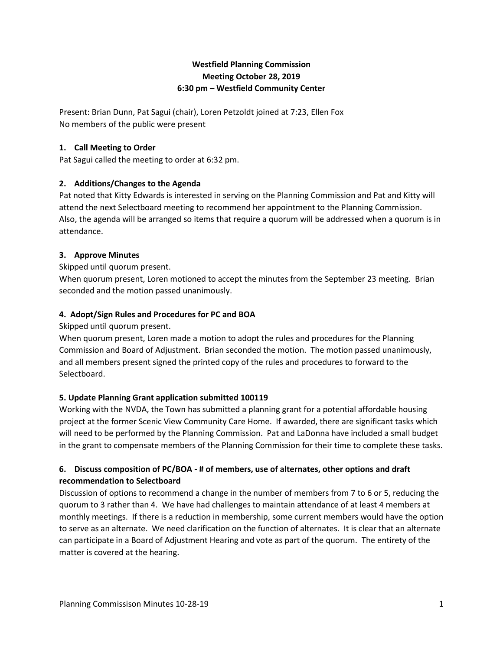# **Westfield Planning Commission Meeting October 28, 2019 6:30 pm – Westfield Community Center**

Present: Brian Dunn, Pat Sagui (chair), Loren Petzoldt joined at 7:23, Ellen Fox No members of the public were present

## **1. Call Meeting to Order**

Pat Sagui called the meeting to order at 6:32 pm.

# **2. Additions/Changes to the Agenda**

Pat noted that Kitty Edwards is interested in serving on the Planning Commission and Pat and Kitty will attend the next Selectboard meeting to recommend her appointment to the Planning Commission. Also, the agenda will be arranged so items that require a quorum will be addressed when a quorum is in attendance.

## **3. Approve Minutes**

Skipped until quorum present.

When quorum present, Loren motioned to accept the minutes from the September 23 meeting. Brian seconded and the motion passed unanimously.

## **4. Adopt/Sign Rules and Procedures for PC and BOA**

Skipped until quorum present.

When quorum present, Loren made a motion to adopt the rules and procedures for the Planning Commission and Board of Adjustment. Brian seconded the motion. The motion passed unanimously, and all members present signed the printed copy of the rules and procedures to forward to the Selectboard.

# **5. Update Planning Grant application submitted 100119**

Working with the NVDA, the Town has submitted a planning grant for a potential affordable housing project at the former Scenic View Community Care Home. If awarded, there are significant tasks which will need to be performed by the Planning Commission. Pat and LaDonna have included a small budget in the grant to compensate members of the Planning Commission for their time to complete these tasks.

# **6. Discuss composition of PC/BOA - # of members, use of alternates, other options and draft recommendation to Selectboard**

Discussion of options to recommend a change in the number of members from 7 to 6 or 5, reducing the quorum to 3 rather than 4. We have had challenges to maintain attendance of at least 4 members at monthly meetings. If there is a reduction in membership, some current members would have the option to serve as an alternate. We need clarification on the function of alternates. It is clear that an alternate can participate in a Board of Adjustment Hearing and vote as part of the quorum. The entirety of the matter is covered at the hearing.